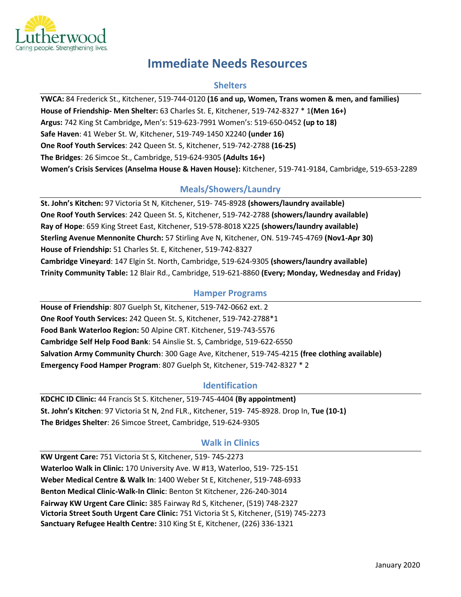

# **Immediate Needs Resources**

### **Shelters**

**YWCA:** 84 Frederick St., Kitchener, 519-744-0120 **(16 and up, Women, Trans women & men, and families) House of Friendship- Men Shelter:** 63 Charles St. E, Kitchener, 519-742-8327 \* 1**(Men 16+) Argus:** 742 King St Cambridge**,** Men's: 519-623-7991 Women's: 519-650-0452 **(up to 18) Safe Haven**: 41 Weber St. W, Kitchener, 519-749-1450 X2240 **(under 16) One Roof Youth Services**: 242 Queen St. S, Kitchener, 519-742-2788 **(16-25) The Bridges**: 26 Simcoe St., Cambridge, 519-624-9305 **(Adults 16+) Women's Crisis Services (Anselma House & Haven House):** Kitchener, 519-741-9184, Cambridge, 519-653-2289

# **Meals/Showers/Laundry**

**St. John's Kitchen:** 97 Victoria St N, Kitchener, 519- 745-8928 **(showers/laundry available) One Roof Youth Services**: 242 Queen St. S, Kitchener, 519-742-2788 **(showers/laundry available) Ray of Hope**: 659 King Street East, Kitchener, 519-578-8018 X225 **(showers/laundry available) Sterling Avenue Mennonite Church:** 57 Stirling Ave N, Kitchener, ON. 519-745-4769 **(Nov1-Apr 30) House of Friendship:** 51 Charles St. E, Kitchener, 519-742-8327 **Cambridge Vineyard**: 147 Elgin St. North, Cambridge, 519-624-9305 **(showers/laundry available) Trinity Community Table:** 12 Blair Rd., Cambridge, 519-621-8860 **(Every; Monday, Wednesday and Friday)**

## **Hamper Programs**

**House of Friendship**: 807 Guelph St, Kitchener, 519-742-0662 ext. 2 **One Roof Youth Services:** 242 Queen St. S, Kitchener, 519-742-2788\*1 **Food Bank Waterloo Region:** 50 Alpine CRT. Kitchener, 519-743-5576 **Cambridge Self Help Food Bank**: 54 Ainslie St. S, Cambridge, 519-622-6550 **Salvation Army Community Church**: 300 Gage Ave, Kitchener, 519-745-4215 **(free clothing available) Emergency Food Hamper Program**: 807 Guelph St, Kitchener, 519-742-8327 \* 2

# **Identification**

**KDCHC ID Clinic:** 44 Francis St S. Kitchener, 519-745-4404 **(By appointment) St. John's Kitchen**: 97 Victoria St N, 2nd FLR., Kitchener, 519- 745-8928. Drop In, **Tue (10-1) The Bridges Shelter**: 26 Simcoe Street, Cambridge, 519-624-9305

# **Walk in Clinics**

**KW Urgent Care:** 751 Victoria St S, Kitchener, 519- 745-2273 **Waterloo Walk in Clinic:** 170 University Ave. W #13, Waterloo, 519- 725-151 **Weber Medical Centre & Walk In**: 1400 Weber St E, Kitchener, 519-748-6933 **Benton Medical Clinic-Walk-In Clinic**: Benton St Kitchener, 226-240-3014 **Fairway KW Urgent Care Clinic:** 385 Fairway Rd S, Kitchener, (519) 748-2327 **Victoria Street South Urgent Care Clinic:** 751 Victoria St S, Kitchener, (519) 745-2273 **Sanctuary Refugee Health Centre:** 310 King St E, Kitchener, (226) 336-1321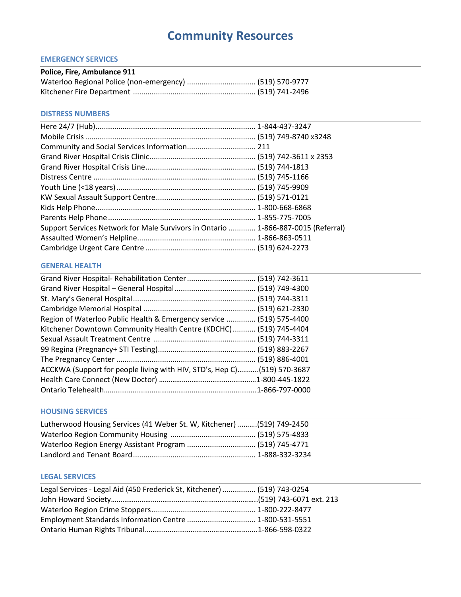# **Community Resources**

#### **EMERGENCY SERVICES**

| Police, Fire, Ambulance 911 |  |
|-----------------------------|--|
|                             |  |
|                             |  |

#### **DISTRESS NUMBERS**

| Support Services Network for Male Survivors in Ontario  1-866-887-0015 (Referral) |  |
|-----------------------------------------------------------------------------------|--|
|                                                                                   |  |
|                                                                                   |  |

#### **GENERAL HEALTH**

| Grand River Hospital- Rehabilitation Center (519) 742-3611              |  |
|-------------------------------------------------------------------------|--|
|                                                                         |  |
|                                                                         |  |
|                                                                         |  |
| Region of Waterloo Public Health & Emergency service  (519) 575-4400    |  |
| Kitchener Downtown Community Health Centre (KDCHC)  (519) 745-4404      |  |
|                                                                         |  |
|                                                                         |  |
|                                                                         |  |
| ACCKWA (Support for people living with HIV, STD's, Hep C)(519) 570-3687 |  |
|                                                                         |  |
|                                                                         |  |

#### **HOUSING SERVICES**

| Lutherwood Housing Services (41 Weber St. W, Kitchener) (519) 749-2450 |  |
|------------------------------------------------------------------------|--|
|                                                                        |  |
|                                                                        |  |
|                                                                        |  |
|                                                                        |  |

#### **LEGAL SERVICES**

| Legal Services - Legal Aid (450 Frederick St, Kitchener)  (519) 743-0254 |  |
|--------------------------------------------------------------------------|--|
|                                                                          |  |
|                                                                          |  |
| Employment Standards Information Centre  1-800-531-5551                  |  |
|                                                                          |  |